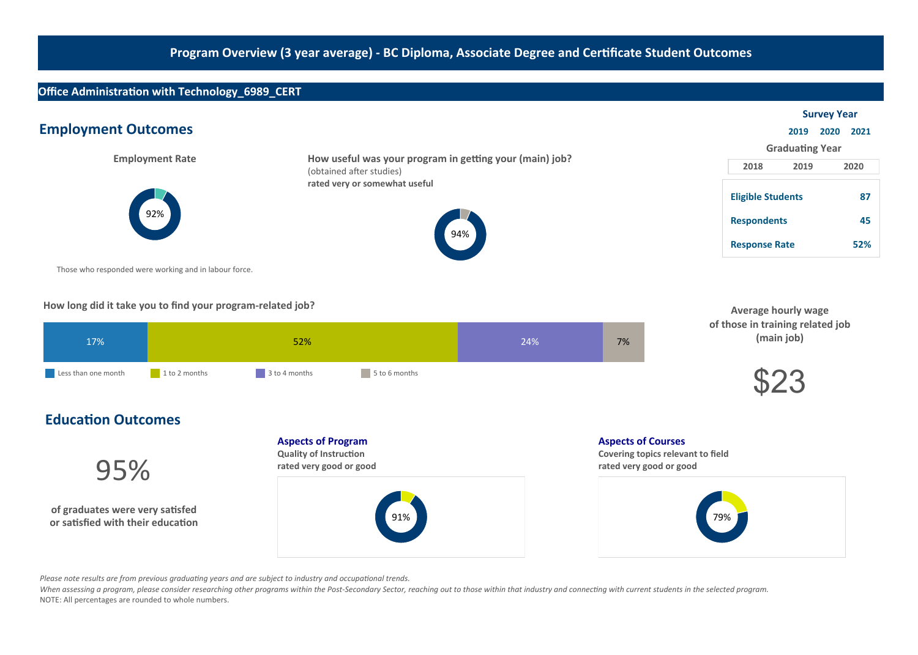# Office Administration with Technology\_6989\_CERT

|                                                       | <b>Survey Year</b>                                                                  |                                                                        |                 |
|-------------------------------------------------------|-------------------------------------------------------------------------------------|------------------------------------------------------------------------|-----------------|
| <b>Employment Outcomes</b>                            |                                                                                     | 2019                                                                   | 2020<br>2021    |
|                                                       |                                                                                     | <b>Graduating Year</b>                                                 |                 |
| <b>Employment Rate</b>                                | How useful was your program in getting your (main) job?<br>(obtained after studies) | 2018<br>2019                                                           | 2020            |
| 92%                                                   | rated very or somewhat useful<br>94%                                                | <b>Eligible Students</b><br><b>Respondents</b><br><b>Response Rate</b> | 87<br>45<br>52% |
| Those who responded were working and in labour force. |                                                                                     |                                                                        |                 |

How long did it take you to find your program-related job?

| 17%                 | 52%           |               | 24%           | 7% |  |
|---------------------|---------------|---------------|---------------|----|--|
| Less than one month | 1 to 2 months | 3 to 4 months | 5 to 6 months |    |  |

| <b>Average hourly wage</b>       |
|----------------------------------|
| of those in training related job |
| (main job)                       |



# **Education Outcomes**

95%

of graduates were very satisfed or satisfied with their education **Aspects of Program** 

Quality of Instruction rated very good or good



**Aspects of Courses** 

Covering topics relevant to field rated very good or good



Please note results are from previous graduating years and are subject to industry and occupational trends.

When assessing a program, please consider researching other programs within the Post-Secondary Sector, reaching out to those within that industry and connecting with current students in the selected program. NOTE: All percentages are rounded to whole numbers.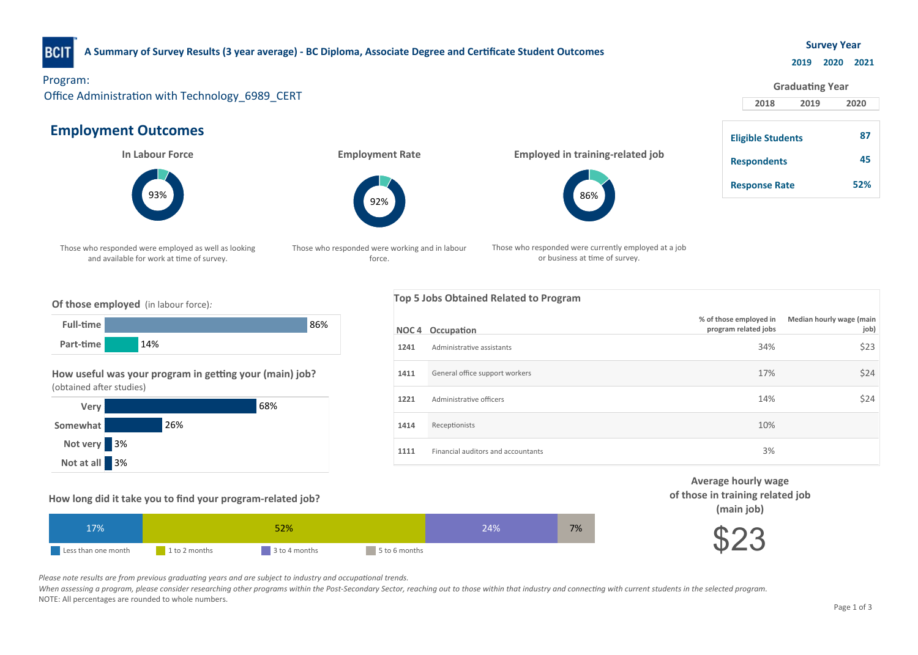

## A Summary of Survey Results (3 year average) - BC Diploma, Associate Degree and Certificate Student Outcomes

### **Survey Year**

#### 2019 2020 2021

## Program:

Office Administration with Technology\_6989\_CERT

# **Employment Outcomes**

**In Labour Force** 



Those who responded were employed as well as looking and available for work at time of survey.

**Employment Rate** 



Those who responded were working and in labour force.

Employed in training-related job



Those who responded were currently employed at a job or business at time of survey.

|                    | <b>Graduating Year</b>   |      |      |
|--------------------|--------------------------|------|------|
|                    | 2018                     | 2019 | 2020 |
|                    | <b>Eligible Students</b> |      | 87   |
| <b>Respondents</b> |                          |      | 45   |
|                    | <b>Response Rate</b>     |      | 52%  |

### Of those employed (in labour force):



### How useful was your program in getting your (main) job? (obtained after studies)



### How long did it take you to find your program-related job?

| 17%.                |               | 52%           |               | 24% | 7% |
|---------------------|---------------|---------------|---------------|-----|----|
| Less than one month | 1 to 2 months | 3 to 4 months | 5 to 6 months |     |    |





Please note results are from previous graduating years and are subject to industry and occupational trends.

When assessing a program, please consider researching other programs within the Post-Secondary Sector, reaching out to those within that industry and connecting with current students in the selected program. NOTE: All percentages are rounded to whole numbers.

## Top 5 Jobs Obtained Related to Program

|      | <b>NOC4</b> Occupation             | % of those employed in<br>program related jobs | Median hourly wage (main<br>job) |
|------|------------------------------------|------------------------------------------------|----------------------------------|
| 1241 | Administrative assistants          | 34%                                            | \$23                             |
| 1411 | General office support workers     | 17%                                            | \$24                             |
| 1221 | Administrative officers            | 14%                                            | \$24                             |
| 1414 | Receptionists                      | 10%                                            |                                  |
| 1111 | Financial auditors and accountants | 3%                                             |                                  |

Average hourly wage of those in training related job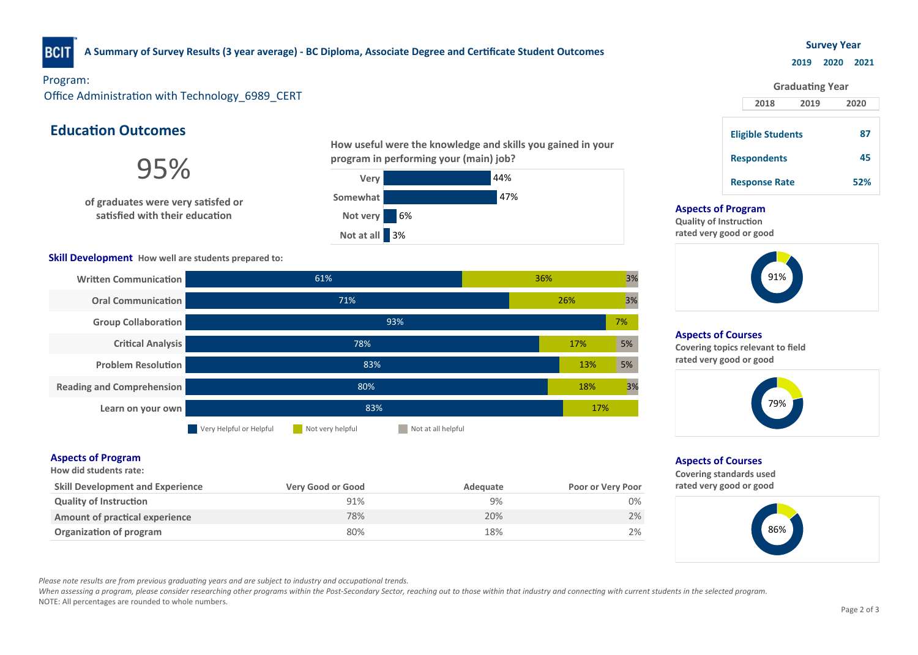

## A Summary of Survey Results (3 year average) - BC Diploma, Associate Degree and Certificate Student Outcomes

### **Survey Year**

### 2019 2020 2021

87

**Graduating Year** 

Program:

Office Administration with Technology 6989 CERT

# **Education Outcomes**

**Quality of Instruction** 

**Aspects of Program** How did students rate:

Amount of practical experience

of graduates were very satisfed or satisfied with their education

### Skill Development How well are students prepared to:

Written Communication

**Oral Communication** 

Group Collaboration

Problem Resolution

Reading and Comprehension

**Critical Analysis** 



18% 20% 9%



2018 2019 2020 **Eligible Students** Respondents **Response Rate** 

### **Aspects of Program**

Quality of Instruction rated very good or good



## **Aspects of Courses**

Covering topics relevant to field rated very good or good



## **Aspects of Courses**

2% 0%

17%

7%

3%

3%

3%

5%

5%

18%

13%

17%

26%

36%

Covering standards used rated very good or good



Please note results are from previous graduating years and are subject to industry and occupational trends.

Learn on your own **Example 2008** 2009 12:00 12:00 12:00 12:00 12:00 12:00 12:00 12:00 12:00 12:00 12:00 12:00 12:00 12:00 12:00 12:00 12:00 12:00 12:00 12:00 12:00 12:00 12:00 12:00 12:00 12:00 12:00 12:00 12:00 12:00 12:0

When assessing a program, please consider researching other programs within the Post-Secondary Sector, reaching out to those within that industry and connecting with current students in the selected program. NOTE: All percentages are rounded to whole numbers.

Skill Development and Experience The Very Good or Good Cool and Adequate Poor or Very Poor

**Notatally Act of Service Very Helpful** Not very helpful Notatall helpful

80%

78%

71%

61%

83%

93%

**Organization of program 2%** and the control of the control of the control of the control of the control of the control of the control of the control of the control of the control of the control of the control of the contr

80% 78% 91%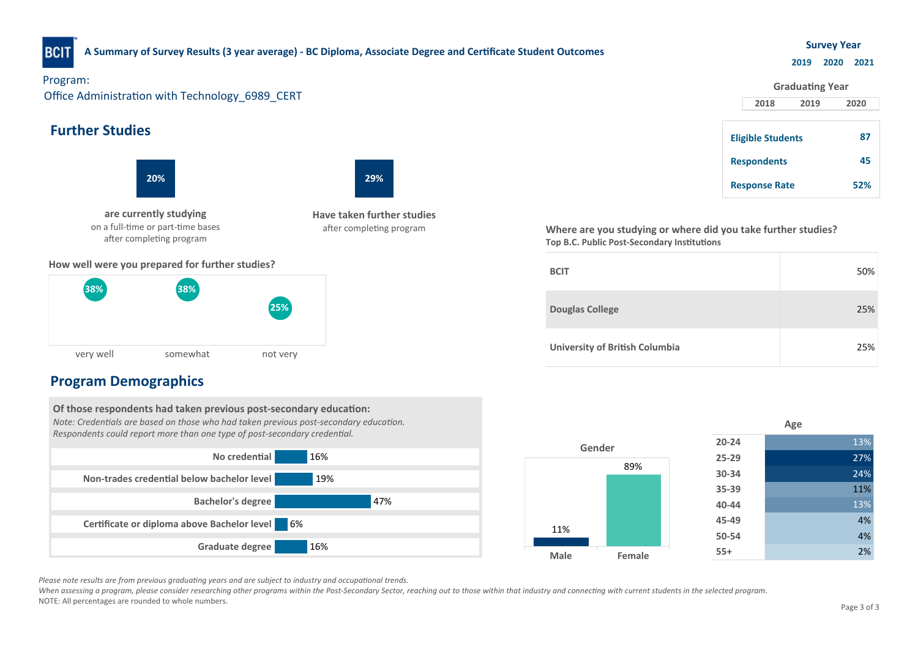

## A Summary of Survey Results (3 year average) - BC Diploma, Associate Degree and Certificate Student Outcomes

### **Survey Year**

### 2019 2020 2021



very well somewhat hot very 25% 38% 38%

# **Program Demographics**

Of those respondents had taken previous post-secondary education: Note: Credentials are based on those who had taken previous post-secondary education. Respondents could report more than one type of post-secondary credential. No credential 16% Non-trades credential below bachelor level 19% Bachelor'sdegree 47% Certificate or diploma above Bachelor level 6% Graduate degree 16%

|  |             |        | - -0 -    |     |
|--|-------------|--------|-----------|-----|
|  | Gender      |        | $20 - 24$ | 13% |
|  |             |        | $25 - 29$ | 27% |
|  |             | 89%    | 30-34     | 24% |
|  |             |        | 35-39     | 11% |
|  |             |        | 40-44     | 13% |
|  |             |        | 45-49     | 4%  |
|  | 11%         |        | 50-54     | 4%  |
|  | <b>Male</b> | Female | $55+$     | 2%  |
|  |             |        |           |     |

Please note results are from previous graduating years and are subject to industry and occupational trends.

When assessing a program, please consider researching other programs within the Post-Secondary Sector, reaching out to those within that industry and connecting with current students in the selected program. NOTE: All percentages are rounded to whole numbers. Page 3 of 3

# 2018 2019 2020 **Graduating Year Eligible Students** Respondents **Response Rate** 87 45 52%

Age

Where are you studying or where did you take further studies? Top B.C. Public Post-Secondary Institutions

| <b>BCIT</b>                           | 50% |
|---------------------------------------|-----|
| <b>Douglas College</b>                | 25% |
| <b>University of British Columbia</b> | 25% |